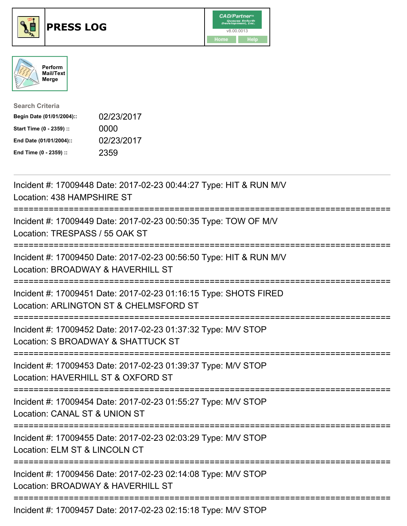





| <b>Search Criteria</b>    |            |
|---------------------------|------------|
| Begin Date (01/01/2004):: | 02/23/2017 |
| Start Time (0 - 2359) ::  | 0000       |
| End Date (01/01/2004)::   | 02/23/2017 |
| End Time (0 - 2359) ::    | 2359       |

| Incident #: 17009448 Date: 2017-02-23 00:44:27 Type: HIT & RUN M/V<br>Location: 438 HAMPSHIRE ST                                           |
|--------------------------------------------------------------------------------------------------------------------------------------------|
| Incident #: 17009449 Date: 2017-02-23 00:50:35 Type: TOW OF M/V<br>Location: TRESPASS / 55 OAK ST                                          |
| Incident #: 17009450 Date: 2017-02-23 00:56:50 Type: HIT & RUN M/V<br>Location: BROADWAY & HAVERHILL ST                                    |
| Incident #: 17009451 Date: 2017-02-23 01:16:15 Type: SHOTS FIRED<br>Location: ARLINGTON ST & CHELMSFORD ST<br>============================ |
| Incident #: 17009452 Date: 2017-02-23 01:37:32 Type: M/V STOP<br>Location: S BROADWAY & SHATTUCK ST                                        |
| Incident #: 17009453 Date: 2017-02-23 01:39:37 Type: M/V STOP<br>Location: HAVERHILL ST & OXFORD ST<br>==========================          |
| Incident #: 17009454 Date: 2017-02-23 01:55:27 Type: M/V STOP<br>Location: CANAL ST & UNION ST<br>----------------------                   |
| Incident #: 17009455 Date: 2017-02-23 02:03:29 Type: M/V STOP<br>Location: ELM ST & LINCOLN CT                                             |
| Incident #: 17009456 Date: 2017-02-23 02:14:08 Type: M/V STOP<br>Location: BROADWAY & HAVERHILL ST                                         |
| Incident #: 17009457 Date: 2017-02-23 02:15:18 Type: M/V STOP                                                                              |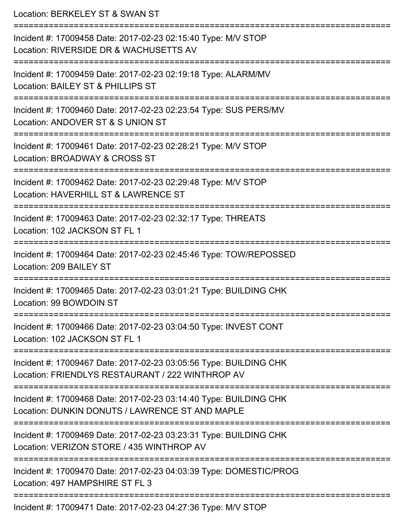Location: BERKELEY ST & SWAN ST =========================================================================== Incident #: 17009458 Date: 2017-02-23 02:15:40 Type: M/V STOP Location: RIVERSIDE DR & WACHUSETTS AV =========================================================================== Incident #: 17009459 Date: 2017-02-23 02:19:18 Type: ALARM/MV Location: BAILEY ST & PHILLIPS ST =========================================================================== Incident #: 17009460 Date: 2017-02-23 02:23:54 Type: SUS PERS/MV Location: ANDOVER ST & S UNION ST =========================================================================== Incident #: 17009461 Date: 2017-02-23 02:28:21 Type: M/V STOP Location: BROADWAY & CROSS ST =========================================================================== Incident #: 17009462 Date: 2017-02-23 02:29:48 Type: M/V STOP Location: HAVERHILL ST & LAWRENCE ST =========================================================================== Incident #: 17009463 Date: 2017-02-23 02:32:17 Type: THREATS Location: 102 JACKSON ST FL 1 =========================================================================== Incident #: 17009464 Date: 2017-02-23 02:45:46 Type: TOW/REPOSSED Location: 209 BAILEY ST =========================================================================== Incident #: 17009465 Date: 2017-02-23 03:01:21 Type: BUILDING CHK Location: 99 BOWDOIN ST =========================================================================== Incident #: 17009466 Date: 2017-02-23 03:04:50 Type: INVEST CONT Location: 102 JACKSON ST FL 1 =========================================================================== Incident #: 17009467 Date: 2017-02-23 03:05:56 Type: BUILDING CHK Location: FRIENDLYS RESTAURANT / 222 WINTHROP AV =========================================================================== Incident #: 17009468 Date: 2017-02-23 03:14:40 Type: BUILDING CHK Location: DUNKIN DONUTS / LAWRENCE ST AND MAPLE =========================================================================== Incident #: 17009469 Date: 2017-02-23 03:23:31 Type: BUILDING CHK Location: VERIZON STORE / 435 WINTHROP AV =========================================================================== Incident #: 17009470 Date: 2017-02-23 04:03:39 Type: DOMESTIC/PROG Location: 497 HAMPSHIRF ST FL 3 =========================================================================== Incident #: 17009471 Date: 2017-02-23 04:27:36 Type: M/V STOP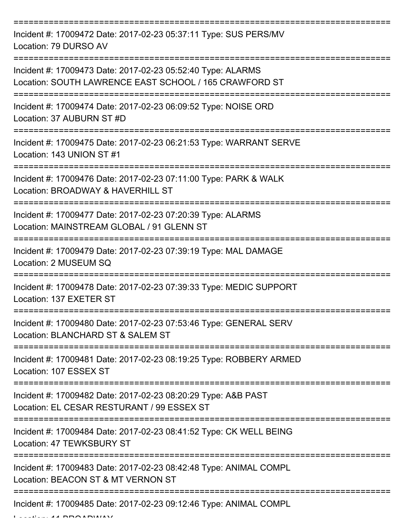| Incident #: 17009472 Date: 2017-02-23 05:37:11 Type: SUS PERS/MV<br>Location: 79 DURSO AV                             |
|-----------------------------------------------------------------------------------------------------------------------|
| Incident #: 17009473 Date: 2017-02-23 05:52:40 Type: ALARMS<br>Location: SOUTH LAWRENCE EAST SCHOOL / 165 CRAWFORD ST |
| Incident #: 17009474 Date: 2017-02-23 06:09:52 Type: NOISE ORD<br>Location: 37 AUBURN ST #D                           |
| Incident #: 17009475 Date: 2017-02-23 06:21:53 Type: WARRANT SERVE<br>Location: 143 UNION ST #1                       |
| Incident #: 17009476 Date: 2017-02-23 07:11:00 Type: PARK & WALK<br>Location: BROADWAY & HAVERHILL ST                 |
| Incident #: 17009477 Date: 2017-02-23 07:20:39 Type: ALARMS<br>Location: MAINSTREAM GLOBAL / 91 GLENN ST              |
| Incident #: 17009479 Date: 2017-02-23 07:39:19 Type: MAL DAMAGE<br>Location: 2 MUSEUM SQ                              |
| Incident #: 17009478 Date: 2017-02-23 07:39:33 Type: MEDIC SUPPORT<br>Location: 137 EXETER ST                         |
| Incident #: 17009480 Date: 2017-02-23 07:53:46 Type: GENERAL SERV<br>Location: BLANCHARD ST & SALEM ST                |
| Incident #: 17009481 Date: 2017-02-23 08:19:25 Type: ROBBERY ARMED<br>Location: 107 ESSEX ST                          |
| Incident #: 17009482 Date: 2017-02-23 08:20:29 Type: A&B PAST<br>Location: EL CESAR RESTURANT / 99 ESSEX ST           |
| Incident #: 17009484 Date: 2017-02-23 08:41:52 Type: CK WELL BEING<br>Location: 47 TEWKSBURY ST                       |
| Incident #: 17009483 Date: 2017-02-23 08:42:48 Type: ANIMAL COMPL<br>Location: BEACON ST & MT VERNON ST               |
| Incident #: 17009485 Date: 2017-02-23 09:12:46 Type: ANIMAL COMPL                                                     |

 $L = L/L = 11$  At BBOARWAY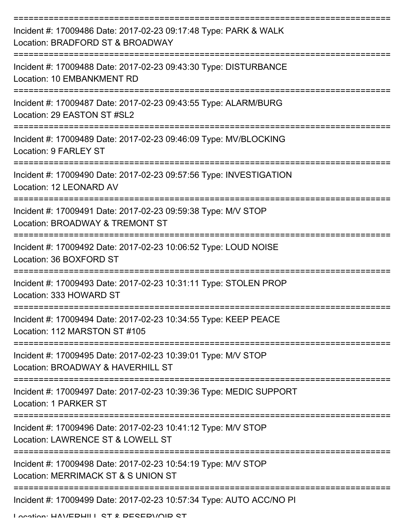| Incident #: 17009486 Date: 2017-02-23 09:17:48 Type: PARK & WALK<br>Location: BRADFORD ST & BROADWAY             |
|------------------------------------------------------------------------------------------------------------------|
| Incident #: 17009488 Date: 2017-02-23 09:43:30 Type: DISTURBANCE<br>Location: 10 EMBANKMENT RD                   |
| Incident #: 17009487 Date: 2017-02-23 09:43:55 Type: ALARM/BURG<br>Location: 29 EASTON ST #SL2                   |
| Incident #: 17009489 Date: 2017-02-23 09:46:09 Type: MV/BLOCKING<br>Location: 9 FARLEY ST                        |
| Incident #: 17009490 Date: 2017-02-23 09:57:56 Type: INVESTIGATION<br>Location: 12 LEONARD AV                    |
| Incident #: 17009491 Date: 2017-02-23 09:59:38 Type: M/V STOP<br>Location: BROADWAY & TREMONT ST                 |
| ------------------<br>Incident #: 17009492 Date: 2017-02-23 10:06:52 Type: LOUD NOISE<br>Location: 36 BOXFORD ST |
| Incident #: 17009493 Date: 2017-02-23 10:31:11 Type: STOLEN PROP<br>Location: 333 HOWARD ST                      |
| Incident #: 17009494 Date: 2017-02-23 10:34:55 Type: KEEP PEACE<br>Location: 112 MARSTON ST #105                 |
| Incident #: 17009495 Date: 2017-02-23 10:39:01 Type: M/V STOP<br>Location: BROADWAY & HAVERHILL ST               |
| Incident #: 17009497 Date: 2017-02-23 10:39:36 Type: MEDIC SUPPORT<br>Location: 1 PARKER ST                      |
| Incident #: 17009496 Date: 2017-02-23 10:41:12 Type: M/V STOP<br>Location: LAWRENCE ST & LOWELL ST               |
| Incident #: 17009498 Date: 2017-02-23 10:54:19 Type: M/V STOP<br>Location: MERRIMACK ST & S UNION ST             |
| Incident #: 17009499 Date: 2017-02-23 10:57:34 Type: AUTO ACC/NO PI                                              |

Location: HAVEDHILL ST & DESEDVOID ST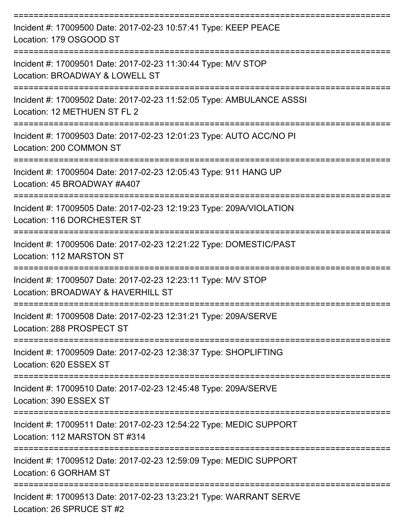| Incident #: 17009500 Date: 2017-02-23 10:57:41 Type: KEEP PEACE<br>Location: 179 OSGOOD ST                           |
|----------------------------------------------------------------------------------------------------------------------|
| Incident #: 17009501 Date: 2017-02-23 11:30:44 Type: M/V STOP<br>Location: BROADWAY & LOWELL ST                      |
| Incident #: 17009502 Date: 2017-02-23 11:52:05 Type: AMBULANCE ASSSI<br>Location: 12 METHUEN ST FL 2                 |
| Incident #: 17009503 Date: 2017-02-23 12:01:23 Type: AUTO ACC/NO PI<br>Location: 200 COMMON ST<br>------------------ |
| Incident #: 17009504 Date: 2017-02-23 12:05:43 Type: 911 HANG UP<br>Location: 45 BROADWAY #A407                      |
| Incident #: 17009505 Date: 2017-02-23 12:19:23 Type: 209A/VIOLATION<br>Location: 116 DORCHESTER ST                   |
| =============<br>Incident #: 17009506 Date: 2017-02-23 12:21:22 Type: DOMESTIC/PAST<br>Location: 112 MARSTON ST      |
| Incident #: 17009507 Date: 2017-02-23 12:23:11 Type: M/V STOP<br>Location: BROADWAY & HAVERHILL ST                   |
| Incident #: 17009508 Date: 2017-02-23 12:31:21 Type: 209A/SERVE<br>Location: 288 PROSPECT ST                         |
| Incident #: 17009509 Date: 2017-02-23 12:38:37 Type: SHOPLIFTING<br>Location: 620 ESSEX ST                           |
| Incident #: 17009510 Date: 2017-02-23 12:45:48 Type: 209A/SERVE<br>Location: 390 ESSEX ST                            |
| Incident #: 17009511 Date: 2017-02-23 12:54:22 Type: MEDIC SUPPORT<br>Location: 112 MARSTON ST #314                  |
| Incident #: 17009512 Date: 2017-02-23 12:59:09 Type: MEDIC SUPPORT<br>Location: 6 GORHAM ST                          |
| Incident #: 17009513 Date: 2017-02-23 13:23:21 Type: WARRANT SERVE<br>Location: 26 SPRUCE ST #2                      |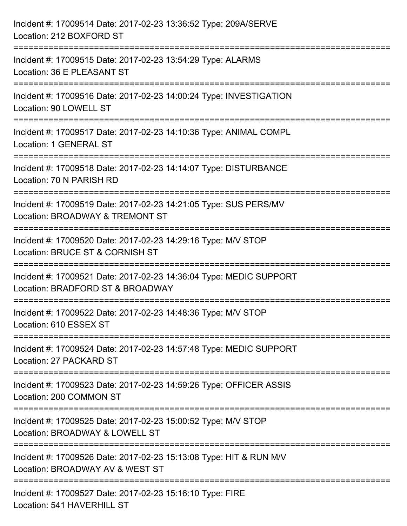| Incident #: 17009514 Date: 2017-02-23 13:36:52 Type: 209A/SERVE<br>Location: 212 BOXFORD ST                                                              |
|----------------------------------------------------------------------------------------------------------------------------------------------------------|
| =====================================<br>Incident #: 17009515 Date: 2017-02-23 13:54:29 Type: ALARMS<br>Location: 36 E PLEASANT ST<br>------------------ |
| Incident #: 17009516 Date: 2017-02-23 14:00:24 Type: INVESTIGATION<br>Location: 90 LOWELL ST                                                             |
| Incident #: 17009517 Date: 2017-02-23 14:10:36 Type: ANIMAL COMPL<br>Location: 1 GENERAL ST                                                              |
| Incident #: 17009518 Date: 2017-02-23 14:14:07 Type: DISTURBANCE<br>Location: 70 N PARISH RD                                                             |
| Incident #: 17009519 Date: 2017-02-23 14:21:05 Type: SUS PERS/MV<br>Location: BROADWAY & TREMONT ST                                                      |
| :===================<br>Incident #: 17009520 Date: 2017-02-23 14:29:16 Type: M/V STOP<br>Location: BRUCE ST & CORNISH ST                                 |
| Incident #: 17009521 Date: 2017-02-23 14:36:04 Type: MEDIC SUPPORT<br>Location: BRADFORD ST & BROADWAY                                                   |
| Incident #: 17009522 Date: 2017-02-23 14:48:36 Type: M/V STOP<br>Location: 610 ESSEX ST                                                                  |
| Incident #: 17009524 Date: 2017-02-23 14:57:48 Type: MEDIC SUPPORT<br>Location: 27 PACKARD ST                                                            |
| Incident #: 17009523 Date: 2017-02-23 14:59:26 Type: OFFICER ASSIS<br>Location: 200 COMMON ST                                                            |
| Incident #: 17009525 Date: 2017-02-23 15:00:52 Type: M/V STOP<br>Location: BROADWAY & LOWELL ST                                                          |
| Incident #: 17009526 Date: 2017-02-23 15:13:08 Type: HIT & RUN M/V<br>Location: BROADWAY AV & WEST ST                                                    |
| Incident #: 17009527 Date: 2017-02-23 15:16:10 Type: FIRE<br>Location: 541 HAVERHILL ST                                                                  |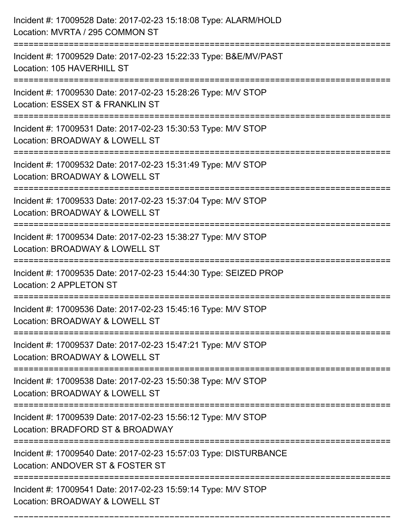| Incident #: 17009528 Date: 2017-02-23 15:18:08 Type: ALARM/HOLD<br>Location: MVRTA / 295 COMMON ST                             |
|--------------------------------------------------------------------------------------------------------------------------------|
| Incident #: 17009529 Date: 2017-02-23 15:22:33 Type: B&E/MV/PAST<br>Location: 105 HAVERHILL ST                                 |
| Incident #: 17009530 Date: 2017-02-23 15:28:26 Type: M/V STOP<br>Location: ESSEX ST & FRANKLIN ST                              |
| Incident #: 17009531 Date: 2017-02-23 15:30:53 Type: M/V STOP<br>Location: BROADWAY & LOWELL ST                                |
| Incident #: 17009532 Date: 2017-02-23 15:31:49 Type: M/V STOP<br>Location: BROADWAY & LOWELL ST<br>:========================== |
| Incident #: 17009533 Date: 2017-02-23 15:37:04 Type: M/V STOP<br>Location: BROADWAY & LOWELL ST                                |
| Incident #: 17009534 Date: 2017-02-23 15:38:27 Type: M/V STOP<br>Location: BROADWAY & LOWELL ST                                |
| Incident #: 17009535 Date: 2017-02-23 15:44:30 Type: SEIZED PROP<br>Location: 2 APPLETON ST                                    |
| Incident #: 17009536 Date: 2017-02-23 15:45:16 Type: M/V STOP<br>Location: BROADWAY & LOWELL ST                                |
| Incident #: 17009537 Date: 2017-02-23 15:47:21 Type: M/V STOP<br>Location: BROADWAY & LOWELL ST                                |
| Incident #: 17009538 Date: 2017-02-23 15:50:38 Type: M/V STOP<br>Location: BROADWAY & LOWELL ST                                |
| Incident #: 17009539 Date: 2017-02-23 15:56:12 Type: M/V STOP<br>Location: BRADFORD ST & BROADWAY                              |
| Incident #: 17009540 Date: 2017-02-23 15:57:03 Type: DISTURBANCE<br>Location: ANDOVER ST & FOSTER ST                           |
| Incident #: 17009541 Date: 2017-02-23 15:59:14 Type: M/V STOP<br>Location: BROADWAY & LOWELL ST                                |

===========================================================================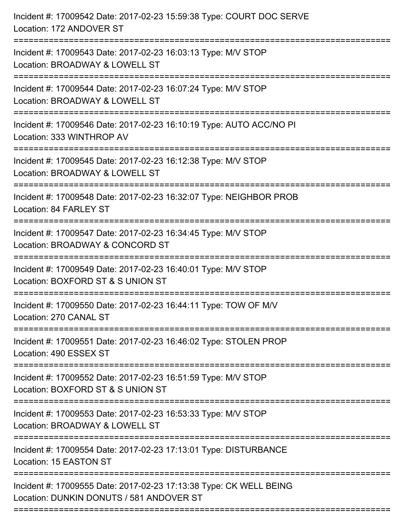| Incident #: 17009542 Date: 2017-02-23 15:59:38 Type: COURT DOC SERVE<br>Location: 172 ANDOVER ST                      |
|-----------------------------------------------------------------------------------------------------------------------|
| Incident #: 17009543 Date: 2017-02-23 16:03:13 Type: M/V STOP<br>Location: BROADWAY & LOWELL ST                       |
| Incident #: 17009544 Date: 2017-02-23 16:07:24 Type: M/V STOP<br>Location: BROADWAY & LOWELL ST<br>===============    |
| Incident #: 17009546 Date: 2017-02-23 16:10:19 Type: AUTO ACC/NO PI<br>Location: 333 WINTHROP AV                      |
| Incident #: 17009545 Date: 2017-02-23 16:12:38 Type: M/V STOP<br>Location: BROADWAY & LOWELL ST<br>==============     |
| Incident #: 17009548 Date: 2017-02-23 16:32:07 Type: NEIGHBOR PROB<br>Location: 84 FARLEY ST                          |
| Incident #: 17009547 Date: 2017-02-23 16:34:45 Type: M/V STOP<br>Location: BROADWAY & CONCORD ST<br>================= |
| Incident #: 17009549 Date: 2017-02-23 16:40:01 Type: M/V STOP<br>Location: BOXFORD ST & S UNION ST                    |
| Incident #: 17009550 Date: 2017-02-23 16:44:11 Type: TOW OF M/V<br>Location: 270 CANAL ST                             |
| Incident #: 17009551 Date: 2017-02-23 16:46:02 Type: STOLEN PROP<br>Location: 490 ESSEX ST                            |
| Incident #: 17009552 Date: 2017-02-23 16:51:59 Type: M/V STOP<br>Location: BOXFORD ST & S UNION ST                    |
| Incident #: 17009553 Date: 2017-02-23 16:53:33 Type: M/V STOP<br>Location: BROADWAY & LOWELL ST                       |
| Incident #: 17009554 Date: 2017-02-23 17:13:01 Type: DISTURBANCE<br>Location: 15 EASTON ST                            |
| Incident #: 17009555 Date: 2017-02-23 17:13:38 Type: CK WELL BEING<br>Location: DUNKIN DONUTS / 581 ANDOVER ST        |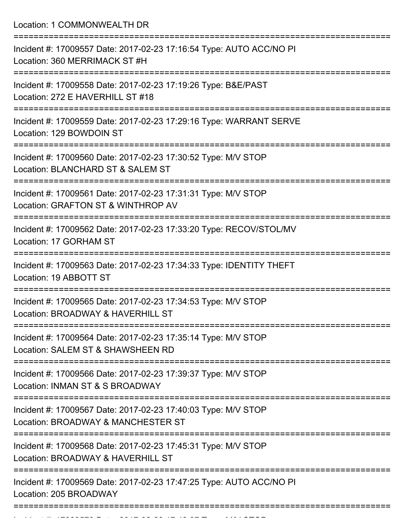Location: 1 COMMONWEALTH DR

| Incident #: 17009557 Date: 2017-02-23 17:16:54 Type: AUTO ACC/NO PI<br>Location: 360 MERRIMACK ST #H                          |
|-------------------------------------------------------------------------------------------------------------------------------|
| Incident #: 17009558 Date: 2017-02-23 17:19:26 Type: B&E/PAST<br>Location: 272 E HAVERHILL ST #18                             |
| Incident #: 17009559 Date: 2017-02-23 17:29:16 Type: WARRANT SERVE<br>Location: 129 BOWDOIN ST                                |
| Incident #: 17009560 Date: 2017-02-23 17:30:52 Type: M/V STOP<br>Location: BLANCHARD ST & SALEM ST                            |
| Incident #: 17009561 Date: 2017-02-23 17:31:31 Type: M/V STOP<br>Location: GRAFTON ST & WINTHROP AV                           |
| Incident #: 17009562 Date: 2017-02-23 17:33:20 Type: RECOV/STOL/MV<br>Location: 17 GORHAM ST                                  |
| Incident #: 17009563 Date: 2017-02-23 17:34:33 Type: IDENTITY THEFT<br>Location: 19 ABBOTT ST                                 |
| Incident #: 17009565 Date: 2017-02-23 17:34:53 Type: M/V STOP<br>Location: BROADWAY & HAVERHILL ST                            |
| Incident #: 17009564 Date: 2017-02-23 17:35:14 Type: M/V STOP<br>Location: SALEM ST & SHAWSHEEN RD                            |
| Incident #: 17009566 Date: 2017-02-23 17:39:37 Type: M/V STOP<br>Location: INMAN ST & S BROADWAY                              |
| Incident #: 17009567 Date: 2017-02-23 17:40:03 Type: M/V STOP<br>Location: BROADWAY & MANCHESTER ST                           |
| -----------------------<br>Incident #: 17009568 Date: 2017-02-23 17:45:31 Type: M/V STOP<br>Location: BROADWAY & HAVERHILL ST |
| Incident #: 17009569 Date: 2017-02-23 17:47:25 Type: AUTO ACC/NO PI<br>Location: 205 BROADWAY                                 |
|                                                                                                                               |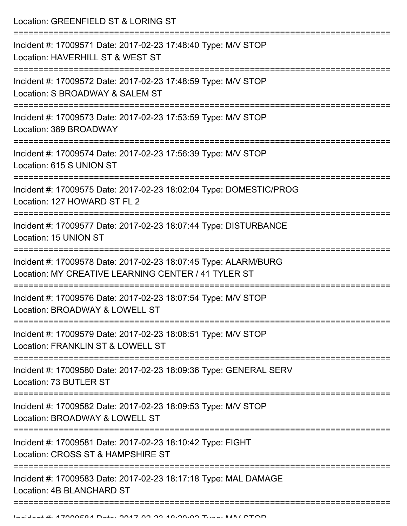Location: GREENFIELD ST & LORING ST

| Incident #: 17009571 Date: 2017-02-23 17:48:40 Type: M/V STOP<br>Location: HAVERHILL ST & WEST ST                      |
|------------------------------------------------------------------------------------------------------------------------|
| Incident #: 17009572 Date: 2017-02-23 17:48:59 Type: M/V STOP<br>Location: S BROADWAY & SALEM ST                       |
| Incident #: 17009573 Date: 2017-02-23 17:53:59 Type: M/V STOP<br>Location: 389 BROADWAY                                |
| Incident #: 17009574 Date: 2017-02-23 17:56:39 Type: M/V STOP<br>Location: 615 S UNION ST                              |
| Incident #: 17009575 Date: 2017-02-23 18:02:04 Type: DOMESTIC/PROG<br>Location: 127 HOWARD ST FL 2                     |
| Incident #: 17009577 Date: 2017-02-23 18:07:44 Type: DISTURBANCE<br>Location: 15 UNION ST                              |
| Incident #: 17009578 Date: 2017-02-23 18:07:45 Type: ALARM/BURG<br>Location: MY CREATIVE LEARNING CENTER / 41 TYLER ST |
| Incident #: 17009576 Date: 2017-02-23 18:07:54 Type: M/V STOP<br>Location: BROADWAY & LOWELL ST                        |
| Incident #: 17009579 Date: 2017-02-23 18:08:51 Type: M/V STOP<br>Location: FRANKLIN ST & LOWELL ST                     |
| Incident #: 17009580 Date: 2017-02-23 18:09:36 Type: GENERAL SERV<br>Location: 73 BUTLER ST                            |
| Incident #: 17009582 Date: 2017-02-23 18:09:53 Type: M/V STOP<br>Location: BROADWAY & LOWELL ST                        |
| Incident #: 17009581 Date: 2017-02-23 18:10:42 Type: FIGHT<br>Location: CROSS ST & HAMPSHIRE ST                        |
| Incident #: 17009583 Date: 2017-02-23 18:17:18 Type: MAL DAMAGE<br>Location: 4B BLANCHARD ST                           |
|                                                                                                                        |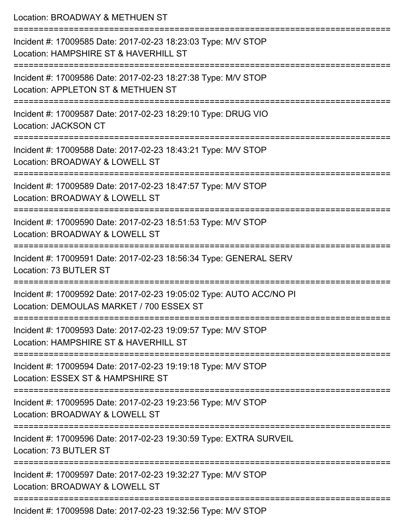| Location: BROADWAY & METHUEN ST                                                                                           |
|---------------------------------------------------------------------------------------------------------------------------|
| Incident #: 17009585 Date: 2017-02-23 18:23:03 Type: M/V STOP<br>Location: HAMPSHIRE ST & HAVERHILL ST                    |
| Incident #: 17009586 Date: 2017-02-23 18:27:38 Type: M/V STOP<br>Location: APPLETON ST & METHUEN ST                       |
| Incident #: 17009587 Date: 2017-02-23 18:29:10 Type: DRUG VIO<br>Location: JACKSON CT                                     |
| Incident #: 17009588 Date: 2017-02-23 18:43:21 Type: M/V STOP<br>Location: BROADWAY & LOWELL ST                           |
| Incident #: 17009589 Date: 2017-02-23 18:47:57 Type: M/V STOP<br>Location: BROADWAY & LOWELL ST                           |
| :=====================<br>Incident #: 17009590 Date: 2017-02-23 18:51:53 Type: M/V STOP<br>Location: BROADWAY & LOWELL ST |
| Incident #: 17009591 Date: 2017-02-23 18:56:34 Type: GENERAL SERV<br>Location: 73 BUTLER ST                               |
| Incident #: 17009592 Date: 2017-02-23 19:05:02 Type: AUTO ACC/NO PI<br>Location: DEMOULAS MARKET / 700 ESSEX ST           |
| Incident #: 17009593 Date: 2017-02-23 19:09:57 Type: M/V STOP<br>Location: HAMPSHIRE ST & HAVERHILL ST                    |
| Incident #: 17009594 Date: 2017-02-23 19:19:18 Type: M/V STOP<br>Location: ESSEX ST & HAMPSHIRE ST                        |
| Incident #: 17009595 Date: 2017-02-23 19:23:56 Type: M/V STOP<br>Location: BROADWAY & LOWELL ST                           |
| Incident #: 17009596 Date: 2017-02-23 19:30:59 Type: EXTRA SURVEIL<br>Location: 73 BUTLER ST                              |
| Incident #: 17009597 Date: 2017-02-23 19:32:27 Type: M/V STOP<br>Location: BROADWAY & LOWELL ST                           |
| Incident #: 17009598 Date: 2017-02-23 19:32:56 Type: M/V STOP                                                             |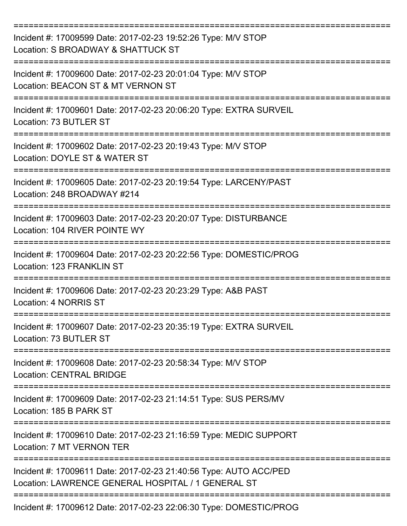| Incident #: 17009599 Date: 2017-02-23 19:52:26 Type: M/V STOP<br>Location: S BROADWAY & SHATTUCK ST                     |
|-------------------------------------------------------------------------------------------------------------------------|
| Incident #: 17009600 Date: 2017-02-23 20:01:04 Type: M/V STOP<br>Location: BEACON ST & MT VERNON ST                     |
| Incident #: 17009601 Date: 2017-02-23 20:06:20 Type: EXTRA SURVEIL<br>Location: 73 BUTLER ST                            |
| Incident #: 17009602 Date: 2017-02-23 20:19:43 Type: M/V STOP<br>Location: DOYLE ST & WATER ST                          |
| Incident #: 17009605 Date: 2017-02-23 20:19:54 Type: LARCENY/PAST<br>Location: 248 BROADWAY #214                        |
| Incident #: 17009603 Date: 2017-02-23 20:20:07 Type: DISTURBANCE<br>Location: 104 RIVER POINTE WY                       |
| Incident #: 17009604 Date: 2017-02-23 20:22:56 Type: DOMESTIC/PROG<br>Location: 123 FRANKLIN ST                         |
| Incident #: 17009606 Date: 2017-02-23 20:23:29 Type: A&B PAST<br>Location: 4 NORRIS ST                                  |
| Incident #: 17009607 Date: 2017-02-23 20:35:19 Type: EXTRA SURVEIL<br>Location: 73 BUTLER ST                            |
| Incident #: 17009608 Date: 2017-02-23 20:58:34 Type: M/V STOP<br><b>Location: CENTRAL BRIDGE</b>                        |
| Incident #: 17009609 Date: 2017-02-23 21:14:51 Type: SUS PERS/MV<br>Location: 185 B PARK ST                             |
| Incident #: 17009610 Date: 2017-02-23 21:16:59 Type: MEDIC SUPPORT<br>Location: 7 MT VERNON TER                         |
| Incident #: 17009611 Date: 2017-02-23 21:40:56 Type: AUTO ACC/PED<br>Location: LAWRENCE GENERAL HOSPITAL / 1 GENERAL ST |
| Incident #: 17009612 Date: 2017-02-23 22:06:30 Type: DOMESTIC/PROG                                                      |